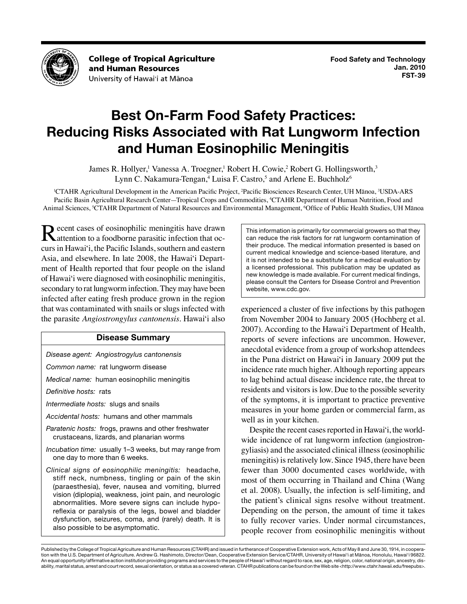

**College of Tropical Agriculture** and Human Resources University of Hawai'i at Mānoa

# **Best On-Farm Food Safety Practices: Reducing Risks Associated with Rat Lungworm Infection and Human Eosinophilic Meningitis**

James R. Hollyer,<sup>1</sup> Vanessa A. Troegner,<sup>1</sup> Robert H. Cowie,<sup>2</sup> Robert G. Hollingsworth,<sup>3</sup> Lynn C. Nakamura-Tengan,<sup>4</sup> Luisa F. Castro,<sup>5</sup> and Arlene E. Buchholz<sup>6</sup>

<sup>1</sup>CTAHR Agricultural Development in the American Pacific Project, <sup>2</sup>Pacific Biosciences Research Center, UH Mānoa, <sup>3</sup>USDA-ARS Pacific Basin Agricultural Research Center—Tropical Crops and Commodities, 4 CTAHR Department of Human Nutrition, Food and Animal Sciences, <sup>5</sup>CTAHR Department of Natural Resources and Environmental Management, <sup>6</sup>Office of Public Health Studies, UH Mānoa

 curs in Hawai'i, the Pacific Islands, southern and eastern of Hawai'i were diagnosed with eosinophilic meningitis, secondary to rat lungworm infection. They may have been Recent cases of eosinophilic meningitis have drawn<br>
attention to a foodborne parasitic infection that oc-Asia, and elsewhere. In late 2008, the Hawai'i Department of Health reported that four people on the island infected after eating fresh produce grown in the region that was contaminated with snails or slugs infected with the parasite *Angiostrongylus cantonensis*. Hawai'i also

# **Disease Summary**

*Disease agent: Angiostrogylus cantonensis* 

*Common name:* rat lungworm disease

*Medical name:* human eosinophilic meningitis

*Definitive hosts:* rats

*Intermediate hosts:* slugs and snails

*Accidental hosts:* humans and other mammals

 *Paratenic hosts:* frogs, prawns and other freshwater crustaceans, lizards, and planarian worms

 *Incubation time:* usually 1–3 weeks, but may range from one day to more than 6 weeks.

 *Clinical signs of eosinophilic meningitis:* headache, stiff neck, numbness, tingling or pain of the skin (paraesthesia), fever, nausea and vomiting, blurred abnormalities. More severe signs can include hypo- reflexia or paralysis of the legs, bowel and bladder dysfunction, seizures, coma, and (rarely) death. It is vision (diplopia), weakness, joint pain, and neurologic also possible to be asymptomatic.

 This information is primarily for commercial growers so that they a licensed professional. This publication may be updated as can reduce the risk factors for rat lungworm contamination of their produce. The medical information presented is based on current medical knowledge and science-based literature, and it is not intended to be a substitute for a medical evaluation by new knowledge is made available. For current medical findings, please consult the Centers for Disease Control and Prevention website, www.cdc.gov.

experienced a cluster of five infections by this pathogen from November 2004 to January 2005 (Hochberg et al. 2007). According to the Hawai'i Department of Health, reports of severe infections are uncommon. However, anecdotal evidence from a group of workshop attendees in the Puna district on Hawai'i in January 2009 put the incidence rate much higher. Although reporting appears to lag behind actual disease incidence rate, the threat to residents and visitors is low. Due to the possible severity of the symptoms, it is important to practice preventive measures in your home garden or commercial farm, as well as in your kitchen.

 fewer than 3000 documented cases worldwide, with the patient's clinical signs resolve without treatment. to fully recover varies. Under normal circumstances, people recover from eosinophilic meningitis without Despite the recent cases reported in Hawai'i, the worldwide incidence of rat lungworm infection (angiostrongyliasis) and the associated clinical illness (eosinophilic meningitis) is relatively low. Since 1945, there have been most of them occurring in Thailand and China (Wang et al. 2008). Usually, the infection is self-limiting, and Depending on the person, the amount of time it takes

 Published by the College of Tropical Agriculture and Human Resources (CTAHR) and issued in furtherance of Cooperative Extension work, Acts of May 8 and June 30, 1914, in coopera- tion with the U.S. Department of Agriculture. Andrew G. Hashimoto, Director/Dean, Cooperative Extension Service/CTAHR, University of Hawai'i at Mānoa, Honolulu, Hawai'i 96822. An equal opportunity/affirmative action institution providing programs and services to the people of Hawai'i without regard to race, sex, age, religion, color, national origin, ancestry, dis-ability, marital status, arrest and court record, sexual orientation, or status as a covered veteran. CTAHR publications can be found on the Web site <http://www.ctahr.hawaii.edu/freepubs>.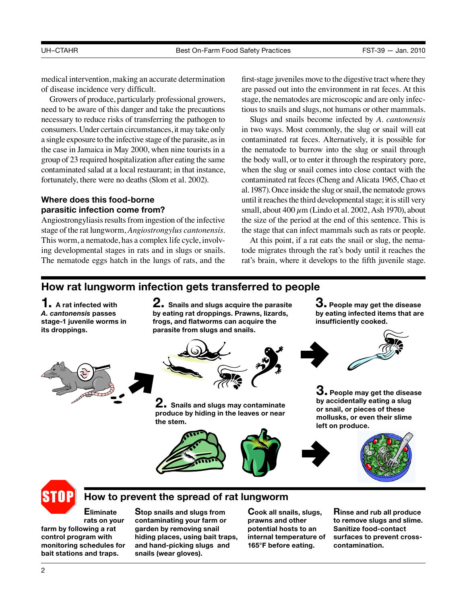medical intervention, making an accurate determination of disease incidence very difficult.

 need to be aware of this danger and take the precautions necessary to reduce risks of transferring the pathogen to consumers. Under certain circumstances, it may take only a single exposure to the infective stage of the parasite, as in the case in Jamaica in May 2000, when nine tourists in a group of 23 required hospitalization after eating the same contaminated salad at a local restaurant; in that instance, fortunately, there were no deaths (Slom et al. 2002). Growers of produce, particularly professional growers,

## **Where does this food-borne parasitic infection come from?**

 Angiostrongyliasis results from ingestion of the infective stage of the rat lungworm, *Angiostrongylus cantonensis*. This worm, a nematode, has a complex life cycle, involving developmental stages in rats and in slugs or snails. The nematode eggs hatch in the lungs of rats, and the

 first-stage juveniles move to the digestive tract where they stage, the nematodes are microscopic and are only infecare passed out into the environment in rat feces. At this tious to snails and slugs, not humans or other mammals.

 in two ways. Most commonly, the slug or snail will eat contaminated rat feces. Alternatively, it is possible for the nematode to burrow into the slug or snail through the body wall, or to enter it through the respiratory pore, when the slug or snail comes into close contact with the contaminated rat feces (Cheng and Alicata 1965, Chao et al. 1987). Once inside the slug or snail, the nematode grows until it reaches the third developmental stage; it is still very small, about  $400 \mu m$  (Lindo et al. 2002, Ash 1970), about the size of the period at the end of this sentence. This is the stage that can infect mammals such as rats or people. Slugs and snails become infected by *A. cantonensis* 

 tode migrates through the rat's body until it reaches the rat's brain, where it develops to the fifth juvenile stage. At this point, if a rat eats the snail or slug, the nema-

> **3. People may get the disease by eating infected items that are**

**3. People may get the disease by accidentally eating a slug or snail, or pieces of these mollusks, or even their slime** 

**insufficiently cooked.** 

# **How rat lungworm infection gets transferred to people**

**1. A rat infected with**  *A. cantonensis* **passes stage-1 juvenile worms in its droppings.** 

**2. Snails and slugs acquire the parasite by eating rat droppings. Prawns, lizards, frogs, and flatworms can acquire the parasite from slugs and snails.** 



**2. Snails and slugs may contaminate produce by hiding in the leaves or near the stem.** 





# **How to prevent the spread of rat lungworm**

**Eliminate Stop snails and slugs from Cook all snails, slugs,**  rats on your contaminating your farm or prawns and other **farm by following a rat garden by removing snail potential hosts to an control program with hiding places, using bait traps, internal temperature of monitoring schedules for and hand-picking slugs and 165°F before eating.**  bait stations and traps. snails (wear gloves).

**Rinse and rub all produce to remove slugs and slime. Sanitize food-contact surfaces to prevent crosscontamination.** 

2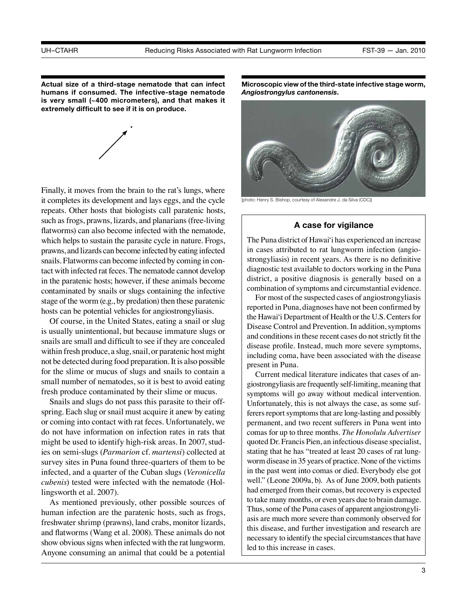**humans if consumed. The infective-stage nematode is very small (~400 micrometers), and that makes it Actual size of a third-stage nematode that can infect extremely difficult to see if it is on produce.** 

**.**



 Finally, it moves from the brain to the rat's lungs, where it completes its development and lays eggs, and the cycle repeats. Other hosts that biologists call paratenic hosts, such as frogs, prawns, lizards, and planarians (free-living flatworms) can also become infected with the nematode, which helps to sustain the parasite cycle in nature. Frogs, prawns, and lizards can become infected by eating infected snails. Flatworms can become infected by coming in con- tact with infected rat feces. The nematode cannot develop in the paratenic hosts; however, if these animals become contaminated by snails or slugs containing the infective stage of the worm (e.g., by predation) then these paratenic hosts can be potential vehicles for angiostrongyliasis.

 within fresh produce, a slug, snail, or paratenic host might not be detected during food preparation. It is also possible Of course, in the United States, eating a snail or slug is usually unintentional, but because immature slugs or snails are small and difficult to see if they are concealed for the slime or mucus of slugs and snails to contain a small number of nematodes, so it is best to avoid eating fresh produce contaminated by their slime or mucus.

Snails and slugs do not pass this parasite to their offspring. Each slug or snail must acquire it anew by eating or coming into contact with rat feces. Unfortunately, we do not have information on infection rates in rats that might be used to identify high-risk areas. In 2007, studies on semi-slugs (*Parmarion* cf. *martensi*) collected at survey sites in Puna found three-quarters of them to be infected, and a quarter of the Cuban slugs (*Veronicella cubenis*) tested were infected with the nematode (Hollingsworth et al. 2007).

 human infection are the paratenic hosts, such as frogs, freshwater shrimp (prawns), land crabs, monitor lizards, and flatworms (Wang et al. 2008). These animals do not show obvious signs when infected with the rat lungworm. Anyone consuming an animal that could be a potential As mentioned previously, other possible sources of

 **Microscopic view of the third-state infective stage worm,**  *Angiostrongylus cantonensis***.** 



[photo: Henry S. Bishop, courtesy of Alexandre J. da Silva (CDC)]

#### **A case for vigilance**

 The Puna district of Hawai'i has experienced an increase district, a positive diagnosis is generally based on a in cases attributed to rat lungworm infection (angiostrongyliasis) in recent years. As there is no definitive diagnostic test available to doctors working in the Puna combination of symptoms and circumstantial evidence.

 reported in Puna, diagnoses have not been confirmed by the Hawai'i Department of Health or the U.S. Centers for and conditions in these recent cases do not strictly fit the For most of the suspected cases of angiostrongyliasis Disease Control and Prevention. In addition, symptoms disease profile. Instead, much more severe symptoms, including coma, have been associated with the disease present in Puna.

 giostrongyliasis are frequently self-limiting, meaning that symptoms will go away without medical intervention. Unfortunately, this is not always the case, as some suf- ferers report symptoms that are long-lasting and possibly permanent, and two recent sufferers in Puna went into comas for up to three months. *The Honolulu Advertiser*  quoted Dr. Francis Pien, an infectious disease specialist, stating that he has "treated at least 20 cases of rat lung- worm disease in 35 years of practice. None of the victims in the past went into comas or died. Everybody else got well." (Leone 2009a, b). As of June 2009, both patients had emerged from their comas, but recovery is expected to take many months, or even years due to brain damage. Thus, some of the Puna cases of apparent angiostrongyli- asis are much more severe than commonly observed for this disease, and further investigation and research are necessary to identify the special circumstances that have led to this increase in cases. Current medical literature indicates that cases of an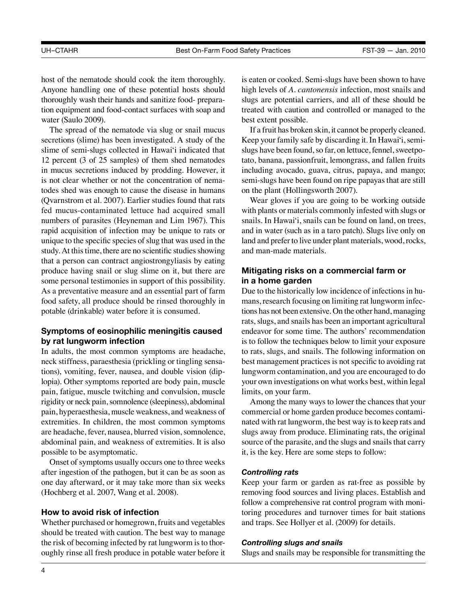host of the nematode should cook the item thoroughly. Anyone handling one of these potential hosts should thoroughly wash their hands and sanitize food- prepara- tion equipment and food-contact surfaces with soap and water (Saulo 2009).

 fed mucus-contaminated lettuce had acquired small unique to the specific species of slug that was used in the study. At this time, there are no scientific studies showing The spread of the nematode via slug or snail mucus secretions (slime) has been investigated. A study of the slime of semi-slugs collected in Hawai'i indicated that 12 percent (3 of 25 samples) of them shed nematodes in mucus secretions induced by prodding. However, it is not clear whether or not the concentration of nematodes shed was enough to cause the disease in humans (Qvarnstrom et al. 2007). Earlier studies found that rats numbers of parasites (Heyneman and Lim 1967). This rapid acquisition of infection may be unique to rats or that a person can contract angiostrongyliasis by eating produce having snail or slug slime on it, but there are some personal testimonies in support of this possibility. As a preventative measure and an essential part of farm food safety, all produce should be rinsed thoroughly in potable (drinkable) water before it is consumed.

# **Symptoms of eosinophilic meningitis caused by rat lungworm infection**

 rigidity or neck pain, somnolence (sleepiness), abdominal pain, hyperaesthesia, muscle weakness, and weakness of In adults, the most common symptoms are headache, neck stiffness, paraesthesia (prickling or tingling sensations), vomiting, fever, nausea, and double vision (diplopia). Other symptoms reported are body pain, muscle pain, fatigue, muscle twitching and convulsion, muscle extremities. In children, the most common symptoms are headache, fever, nausea, blurred vision, somnolence, abdominal pain, and weakness of extremities. It is also possible to be asymptomatic.

Onset of symptoms usually occurs one to three weeks after ingestion of the pathogen, but it can be as soon as one day afterward, or it may take more than six weeks (Hochberg et al. 2007, Wang et al. 2008).

# **How to avoid risk of infection**

 Whether purchased or homegrown, fruits and vegetables the risk of becoming infected by rat lungworm is to thorshould be treated with caution. The best way to manage oughly rinse all fresh produce in potable water before it

is eaten or cooked. Semi-slugs have been shown to have high levels of *A. cantonensis* infection, most snails and slugs are potential carriers, and all of these should be treated with caution and controlled or managed to the best extent possible.

 Keep your family safe by discarding it. In Hawai'i, semi- slugs have been found, so far, on lettuce, fennel, sweetpo- including avocado, guava, citrus, papaya, and mango; If a fruit has broken skin, it cannot be properly cleaned. tato, banana, passionfruit, lemongrass, and fallen fruits semi-slugs have been found on ripe papayas that are still on the plant (Hollingsworth 2007).

 with plants or materials commonly infested with slugs or land and prefer to live under plant materials, wood, rocks, Wear gloves if you are going to be working outside snails. In Hawai'i, snails can be found on land, on trees, and in water (such as in a taro patch). Slugs live only on and man-made materials.

# **Mitigating risks on a commercial farm or in a home garden**

 Due to the historically low incidence of infections in hu- mans, research focusing on limiting rat lungworm infec- tions has not been extensive. On the other hand, managing your own investigations on what works best, within legal rats, slugs, and snails has been an important agricultural endeavor for some time. The authors' recommendation is to follow the techniques below to limit your exposure to rats, slugs, and snails. The following information on best management practices is not specific to avoiding rat lungworm contamination, and you are encouraged to do limits, on your farm.

 nated with rat lungworm, the best way is to keep rats and Among the many ways to lower the chances that your commercial or home garden produce becomes contamislugs away from produce. Eliminating rats, the original source of the parasite, and the slugs and snails that carry it, is the key. Here are some steps to follow:

#### *Controlling rats*

 Keep your farm or garden as rat-free as possible by removing food sources and living places. Establish and follow a comprehensive rat control program with monitoring procedures and turnover times for bait stations and traps. See Hollyer et al. (2009) for details.

#### *Controlling slugs and snails*

Slugs and snails may be responsible for transmitting the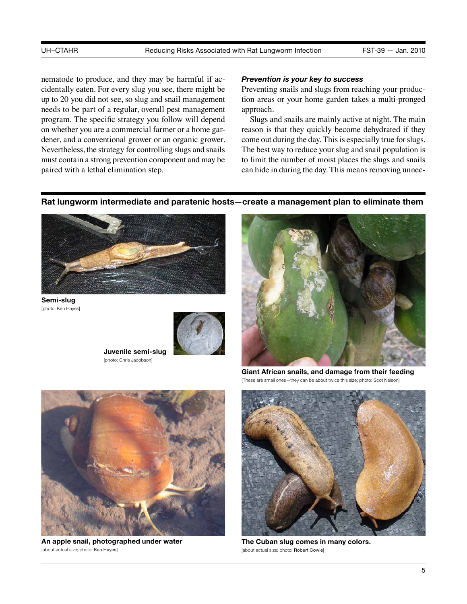Nevertheless, the strategy for controlling slugs and snails must contain a strong prevention component and may be nematode to produce, and they may be harmful if accidentally eaten. For every slug you see, there might be up to 20 you did not see, so slug and snail management needs to be part of a regular, overall pest management program. The specific strategy you follow will depend on whether you are a commercial farmer or a home gardener, and a conventional grower or an organic grower. paired with a lethal elimination step.

### *Prevention is your key to success*

Preventing snails and slugs from reaching your production areas or your home garden takes a multi-pronged approach.

 come out during the day. This is especially true for slugs. Slugs and snails are mainly active at night. The main reason is that they quickly become dehydrated if they The best way to reduce your slug and snail population is to limit the number of moist places the slugs and snails can hide in during the day. This means removing unnec-

### **Rat lungworm intermediate and paratenic hosts—create a management plan to eliminate them**



**Semi-slug**  [photo: Ken Hayes]



**Juvenile semi-slug**  [photo: Chris Jacobson]



**Giant African snails, and damage from their feeding**  [These are small ones-they can be about twice this size; photo: Scot Nelson]



**The Cuban slug comes in many colors.**  [about actual size; photo: Robert Cowie]



**An apple snail, photographed under water**  [about actual size; photo: Ken Hayes]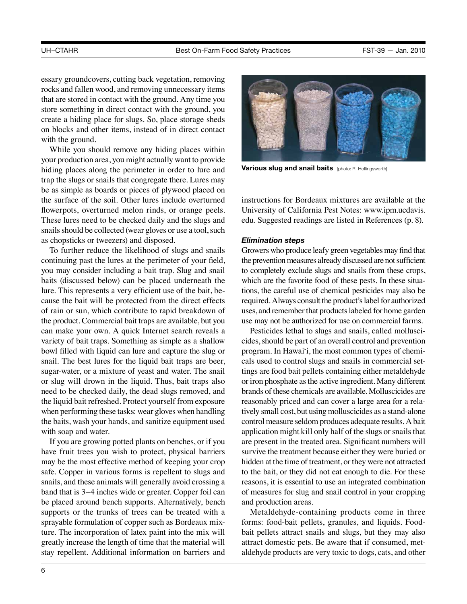essary groundcovers, cutting back vegetation, removing rocks and fallen wood, and removing unnecessary items that are stored in contact with the ground. Any time you store something in direct contact with the ground, you create a hiding place for slugs. So, place storage sheds on blocks and other items, instead of in direct contact with the ground.

 your production area, you might actually want to provide flowerpots, overturned melon rinds, or orange peels. snails should be collected (wear gloves or use a tool, such While you should remove any hiding places within hiding places along the perimeter in order to lure and trap the slugs or snails that congregate there. Lures may be as simple as boards or pieces of plywood placed on the surface of the soil. Other lures include overturned These lures need to be checked daily and the slugs and as chopsticks or tweezers) and disposed.

 baits (discussed below) can be placed underneath the the product. Commercial bait traps are available, but you when performing these tasks: wear gloves when handling To further reduce the likelihood of slugs and snails continuing past the lures at the perimeter of your field, you may consider including a bait trap. Slug and snail lure. This represents a very efficient use of the bait, because the bait will be protected from the direct effects of rain or sun, which contribute to rapid breakdown of can make your own. A quick Internet search reveals a variety of bait traps. Something as simple as a shallow bowl filled with liquid can lure and capture the slug or snail. The best lures for the liquid bait traps are beer, sugar-water, or a mixture of yeast and water. The snail or slug will drown in the liquid. Thus, bait traps also need to be checked daily, the dead slugs removed, and the liquid bait refreshed. Protect yourself from exposure the baits, wash your hands, and sanitize equipment used with soap and water.

 supports or the trunks of trees can be treated with a If you are growing potted plants on benches, or if you have fruit trees you wish to protect, physical barriers may be the most effective method of keeping your crop safe. Copper in various forms is repellent to slugs and snails, and these animals will generally avoid crossing a band that is 3–4 inches wide or greater. Copper foil can be placed around bench supports. Alternatively, bench sprayable formulation of copper such as Bordeaux mixture. The incorporation of latex paint into the mix will greatly increase the length of time that the material will stay repellent. Additional information on barriers and



**Various slug and snail baits** [photo: R. Hollingsworth]

instructions for Bordeaux mixtures are available at the University of California Pest Notes: [www.ipm.ucdavis.](www.ipm.ucdavis.edu) [edu](www.ipm.ucdavis.edu). Suggested readings are listed in References (p. 8).

#### *Elimination steps*

 Growers who produce leafy green vegetables may find that the prevention measures already discussed are not sufficient to completely exclude slugs and snails from these crops, which are the favorite food of these pests. In these situa- tions, the careful use of chemical pesticides may also be required. Always consult the product's label for authorized uses, and remember that products labeled for home garden use may not be authorized for use on commercial farms.

 cides, should be part of an overall control and prevention or iron phosphate as the active ingredient. Many different brands of these chemicals are available. Molluscicides are tively small cost, but using molluscicides as a stand-alone control measure seldom produces adequate results. A bait hidden at the time of treatment, or they were not attracted Pesticides lethal to slugs and snails, called mollusciprogram. In Hawai'i, the most common types of chemicals used to control slugs and snails in commercial settings are food bait pellets containing either metaldehyde reasonably priced and can cover a large area for a relaapplication might kill only half of the slugs or snails that are present in the treated area. Significant numbers will survive the treatment because either they were buried or to the bait, or they did not eat enough to die. For these reasons, it is essential to use an integrated combination of measures for slug and snail control in your cropping and production areas.

 Metaldehyde-containing products come in three forms: food-bait pellets, granules, and liquids. Foodbait pellets attract snails and slugs, but they may also attract domestic pets. Be aware that if consumed, metaldehyde products are very toxic to dogs, cats, and other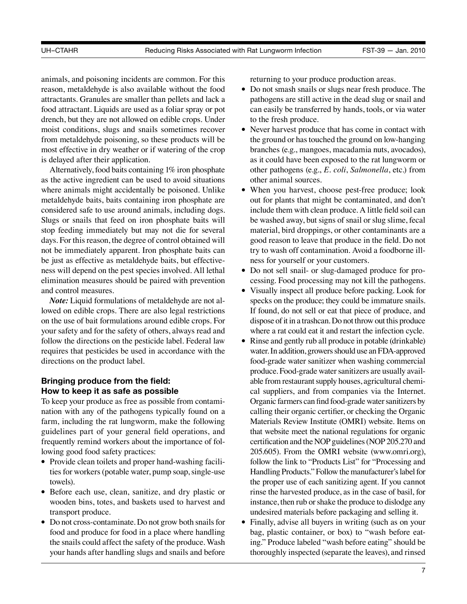moist conditions, slugs and snails sometimes recover animals, and poisoning incidents are common. For this reason, metaldehyde is also available without the food attractants. Granules are smaller than pellets and lack a food attractant. Liquids are used as a foliar spray or pot drench, but they are not allowed on edible crops. Under from metaldehyde poisoning, so these products will be most effective in dry weather or if watering of the crop is delayed after their application.

 Alternatively, food baits containing 1% iron phosphate as the active ingredient can be used to avoid situations where animals might accidentally be poisoned. Unlike metaldehyde baits, baits containing iron phosphate are considered safe to use around animals, including dogs. Slugs or snails that feed on iron phosphate baits will stop feeding immediately but may not die for several days. For this reason, the degree of control obtained will not be immediately apparent. Iron phosphate baits can be just as effective as metaldehyde baits, but effectiveness will depend on the pest species involved. All lethal elimination measures should be paired with prevention and control measures.

*Note:* Liquid formulations of metaldehyde are not allowed on edible crops. There are also legal restrictions on the use of bait formulations around edible crops. For your safety and for the safety of others, always read and follow the directions on the pesticide label. Federal law requires that pesticides be used in accordance with the directions on the product label.

# **Bringing produce from the field: How to keep it as safe as possible**

 guidelines part of your general field operations, and To keep your produce as free as possible from contamination with any of the pathogens typically found on a farm, including the rat lungworm, make the following frequently remind workers about the importance of following good food safety practices:

- Provide clean toilets and proper hand-washing facilities for workers (potable water, pump soap, single-use towels).
- • Before each use, clean, sanitize, and dry plastic or wooden bins, totes, and baskets used to harvest and transport produce.
- • Do not cross-contaminate. Do not grow both snails for the snails could affect the safety of the produce. Wash food and produce for food in a place where handling your hands after handling slugs and snails and before

returning to your produce production areas.

- Do not smash snails or slugs near fresh produce. The pathogens are still active in the dead slug or snail and can easily be transferred by hands, tools, or via water to the fresh produce.
- Never harvest produce that has come in contact with the ground or has touched the ground on low-hanging branches (e.g., mangoes, macadamia nuts, avocados), as it could have been exposed to the rat lungworm or other pathogens (e.g., *E. coli*, *Salmonella*, etc.) from other animal sources.
- • When you harvest, choose pest-free produce; look include them with clean produce. A little field soil can out for plants that might be contaminated, and don't be washed away, but signs of snail or slug slime, fecal material, bird droppings, or other contaminants are a good reason to leave that produce in the field. Do not try to wash off contamination. Avoid a foodborne illness for yourself or your customers.
- Do not sell snail- or slug-damaged produce for processing. Food processing may not kill the pathogens.
- • Visually inspect all produce before packing. Look for specks on the produce; they could be immature snails. If found, do not sell or eat that piece of produce, and dispose of it in a trashcan. Do not throw out this produce where a rat could eat it and restart the infection cycle.
- • Rinse and gently rub all produce in potable (drinkable) water. In addition, growers should use an FDA-approved food-grade water sanitizer when washing commercial produce. Food-grade water sanitizers are usually avail- able from restaurant supply houses, agricultural chemi- cal suppliers, and from companies via the Internet. Organic farmers can find food-grade water sanitizers by calling their organic certifier, or checking the Organic Materials Review Institute (OMRI) website. Items on that website meet the national regulations for organic certification and the NOP guidelines (NOP 205.270 and 205.605). From the OMRI website (www.omri.org), follow the link to "Products List" for "Processing and Handling Products." Follow the manufacturer's label for the proper use of each sanitizing agent. If you cannot rinse the harvested produce, as in the case of basil, for instance, then rub or shake the produce to dislodge any undesired materials before packaging and selling it.
- Finally, advise all buyers in writing (such as on your bag, plastic container, or box) to "wash before eating." Produce labeled "wash before eating" should be thoroughly inspected (separate the leaves), and rinsed